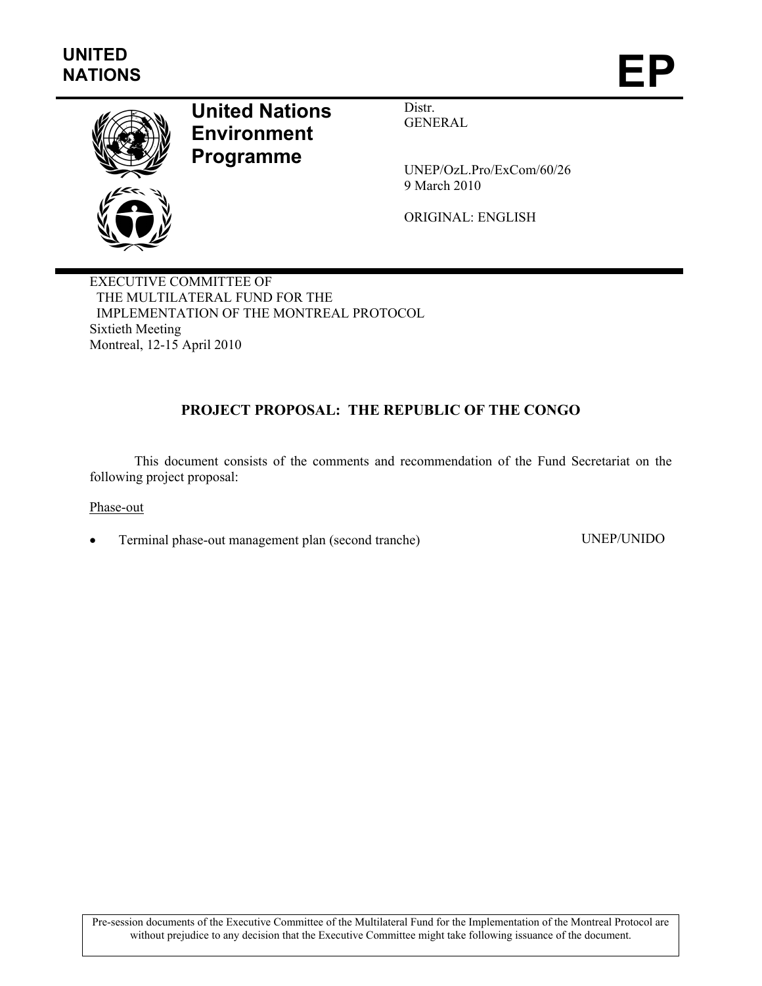

# **United Nations Environment Programme**

Distr. GENERAL

UNEP/OzL.Pro/ExCom/60/26 9 March 2010

ORIGINAL: ENGLISH

EXECUTIVE COMMITTEE OF THE MULTILATERAL FUND FOR THE IMPLEMENTATION OF THE MONTREAL PROTOCOL Sixtieth Meeting Montreal, 12-15 April 2010

# **PROJECT PROPOSAL: THE REPUBLIC OF THE CONGO**

This document consists of the comments and recommendation of the Fund Secretariat on the following project proposal:

Phase-out

• Terminal phase-out management plan (second tranche) UNEP/UNIDO

Pre-session documents of the Executive Committee of the Multilateral Fund for the Implementation of the Montreal Protocol are without prejudice to any decision that the Executive Committee might take following issuance of the document.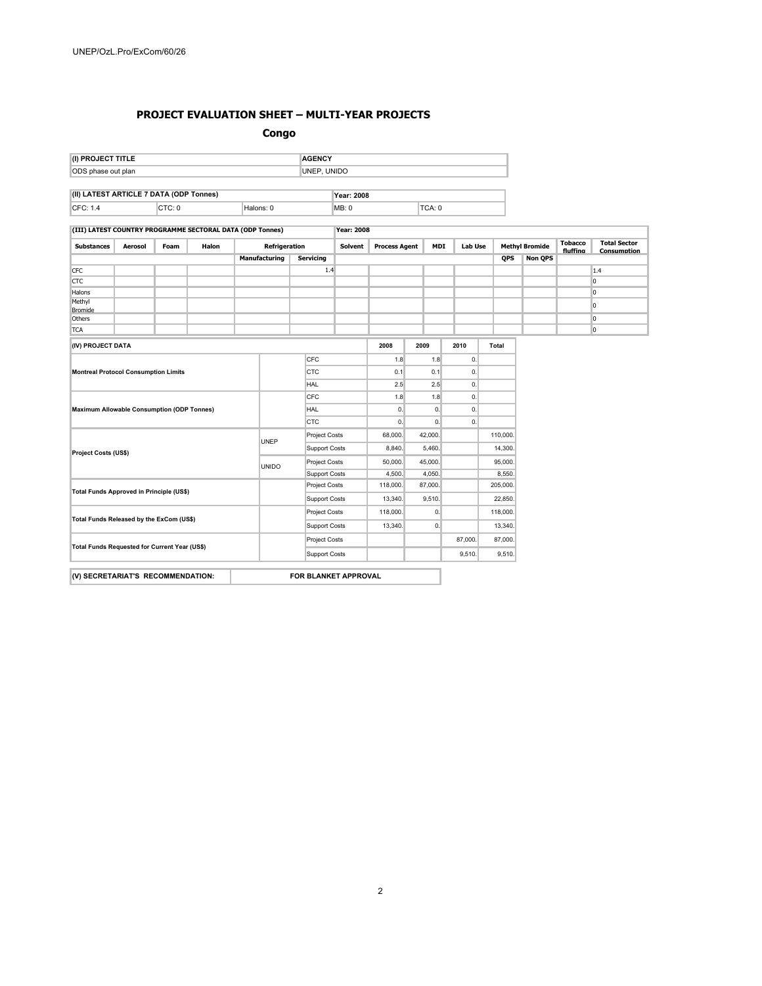#### **PROJECT EVALUATION SHEET – MULTI-YEAR PROJECTS**

**Congo** 

| (I) PROJECT TITLE                       |        | <b>AGENCY</b> |                   |      |        |  |
|-----------------------------------------|--------|---------------|-------------------|------|--------|--|
| ODS phase out plan                      |        | UNEP. UNIDO   |                   |      |        |  |
|                                         |        |               |                   |      |        |  |
| (II) LATEST ARTICLE 7 DATA (ODP Tonnes) |        |               | <b>Year: 2008</b> |      |        |  |
| CFC: 1.4                                | CTC: 0 | Halons: 0     |                   | MB:0 | TCA: 0 |  |

#### **(III) LATEST COUNTRY PROGRAMME SECTORAL DATA (ODP Tonnes) Year: 2008**

| <b>Substances</b>                             | Aerosol | Foam | Halon         | Refrigeration        |                      |                      |          |            | <b>Process Agent</b> | <b>MDI</b> |                | Lab Use  |            | <b>Methyl Bromide</b> |          | <b>Total Sector</b><br>Consumption |
|-----------------------------------------------|---------|------|---------------|----------------------|----------------------|----------------------|----------|------------|----------------------|------------|----------------|----------|------------|-----------------------|----------|------------------------------------|
|                                               |         |      |               |                      | Manufacturing        | <b>Servicing</b>     |          |            |                      |            |                |          | <b>OPS</b> | <b>Non QPS</b>        | fluffina |                                    |
| <b>CFC</b>                                    |         |      |               |                      |                      |                      | 1.4      |            |                      |            |                |          |            |                       |          | 1.4                                |
| <b>CTC</b>                                    |         |      |               |                      |                      |                      |          |            |                      |            |                |          |            |                       |          | lo.                                |
| Halons                                        |         |      |               |                      |                      |                      |          |            |                      |            |                |          |            |                       |          | l0.                                |
| Methyl<br>Bromide                             |         |      |               |                      |                      |                      |          |            |                      |            |                |          |            |                       |          | 10                                 |
| Others                                        |         |      |               |                      |                      |                      |          |            |                      |            |                |          |            |                       |          | lo.                                |
| <b>TCA</b>                                    |         |      |               |                      |                      |                      |          |            |                      |            |                |          |            |                       |          | lo.                                |
| (IV) PROJECT DATA                             |         |      |               |                      |                      |                      |          |            | 2008                 | 2009       |                | 2010     | Total      |                       |          |                                    |
|                                               |         |      |               |                      |                      | CFC                  |          |            | 1.8                  |            | 1.8            | 0.       |            |                       |          |                                    |
| <b>Montreal Protocol Consumption Limits</b>   |         |      |               | CTC                  |                      |                      |          | 0.1<br>2.5 |                      | 0.1        | 0.             |          |            |                       |          |                                    |
|                                               |         |      |               |                      | <b>HAL</b>           |                      |          |            |                      | 2.5        | $\mathbf{0}$ . |          |            |                       |          |                                    |
| Maximum Allowable Consumption (ODP Tonnes)    |         |      |               | CFC                  |                      |                      | 1.8      |            | 1.8                  | 0.         |                |          |            |                       |          |                                    |
|                                               |         |      |               |                      | <b>HAL</b>           |                      |          | 0.         |                      | 0.         | $\mathbf{0}$ . |          |            |                       |          |                                    |
|                                               |         |      |               | CTC                  |                      |                      | 0.       |            | $\mathbf{0}$ .       | 0.         |                |          |            |                       |          |                                    |
| <b>Project Costs (US\$)</b>                   |         |      |               | <b>UNEP</b>          |                      | Project Costs        |          | 68,000.    |                      | 42,000.    |                | 110,000. |            |                       |          |                                    |
|                                               |         |      |               |                      |                      | Support Costs        |          | 8,840.     |                      | 5,460.     |                | 14,300.  |            |                       |          |                                    |
|                                               |         |      |               | <b>UNIDO</b>         |                      | <b>Project Costs</b> |          | 50,000.    |                      | 45,000.    |                | 95,000.  |            |                       |          |                                    |
|                                               |         |      |               |                      |                      | Support Costs        |          | 4,500.     |                      | 4,050.     |                | 8,550.   |            |                       |          |                                    |
| Total Funds Approved in Principle (US\$)      |         |      |               | Project Costs        |                      |                      | 118,000. |            | 87,000.              |            | 205,000.       |          |            |                       |          |                                    |
|                                               |         |      |               |                      | <b>Support Costs</b> |                      | 13,340.  |            | 9,510.               |            | 22,850.        |          |            |                       |          |                                    |
| Total Funds Released by the ExCom (US\$)      |         |      |               | <b>Project Costs</b> |                      |                      | 118,000. |            | 0.                   |            | 118,000.       |          |            |                       |          |                                    |
|                                               |         |      |               | Support Costs        |                      |                      | 13,340.  |            | 0.                   |            | 13,340.        |          |            |                       |          |                                    |
| Total Funds Requested for Current Year (US\$) |         |      | Project Costs |                      |                      |                      |          |            | 87,000.              | 87,000.    |                |          |            |                       |          |                                    |
|                                               |         |      |               | Support Costs        |                      |                      |          |            |                      | 9,510.     | 9,510.         |          |            |                       |          |                                    |
| (V) SECRETARIAT'S RECOMMENDATION:             |         |      |               |                      |                      | FOR BLANKET APPROVAL |          |            |                      |            |                |          |            |                       |          |                                    |
|                                               |         |      |               |                      |                      |                      |          |            |                      |            |                |          |            |                       |          |                                    |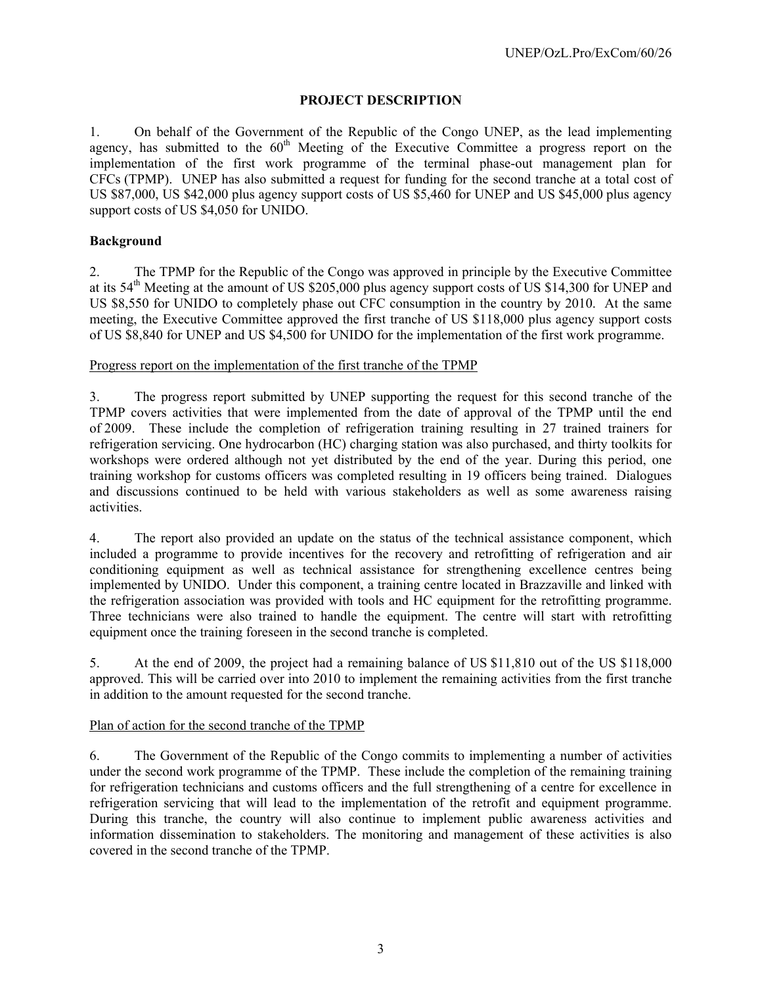# **PROJECT DESCRIPTION**

1. On behalf of the Government of the Republic of the Congo UNEP, as the lead implementing agency, has submitted to the  $60<sup>th</sup>$  Meeting of the Executive Committee a progress report on the implementation of the first work programme of the terminal phase-out management plan for CFCs (TPMP). UNEP has also submitted a request for funding for the second tranche at a total cost of US \$87,000, US \$42,000 plus agency support costs of US \$5,460 for UNEP and US \$45,000 plus agency support costs of US \$4,050 for UNIDO.

# **Background**

2. The TPMP for the Republic of the Congo was approved in principle by the Executive Committee at its 54<sup>th</sup> Meeting at the amount of US \$205,000 plus agency support costs of US \$14,300 for UNEP and US \$8,550 for UNIDO to completely phase out CFC consumption in the country by 2010. At the same meeting, the Executive Committee approved the first tranche of US \$118,000 plus agency support costs of US \$8,840 for UNEP and US \$4,500 for UNIDO for the implementation of the first work programme.

### Progress report on the implementation of the first tranche of the TPMP

3. The progress report submitted by UNEP supporting the request for this second tranche of the TPMP covers activities that were implemented from the date of approval of the TPMP until the end of 2009. These include the completion of refrigeration training resulting in 27 trained trainers for refrigeration servicing. One hydrocarbon (HC) charging station was also purchased, and thirty toolkits for workshops were ordered although not yet distributed by the end of the year. During this period, one training workshop for customs officers was completed resulting in 19 officers being trained. Dialogues and discussions continued to be held with various stakeholders as well as some awareness raising activities.

4. The report also provided an update on the status of the technical assistance component, which included a programme to provide incentives for the recovery and retrofitting of refrigeration and air conditioning equipment as well as technical assistance for strengthening excellence centres being implemented by UNIDO. Under this component, a training centre located in Brazzaville and linked with the refrigeration association was provided with tools and HC equipment for the retrofitting programme. Three technicians were also trained to handle the equipment. The centre will start with retrofitting equipment once the training foreseen in the second tranche is completed.

5. At the end of 2009, the project had a remaining balance of US \$11,810 out of the US \$118,000 approved. This will be carried over into 2010 to implement the remaining activities from the first tranche in addition to the amount requested for the second tranche.

# Plan of action for the second tranche of the TPMP

6. The Government of the Republic of the Congo commits to implementing a number of activities under the second work programme of the TPMP. These include the completion of the remaining training for refrigeration technicians and customs officers and the full strengthening of a centre for excellence in refrigeration servicing that will lead to the implementation of the retrofit and equipment programme. During this tranche, the country will also continue to implement public awareness activities and information dissemination to stakeholders. The monitoring and management of these activities is also covered in the second tranche of the TPMP.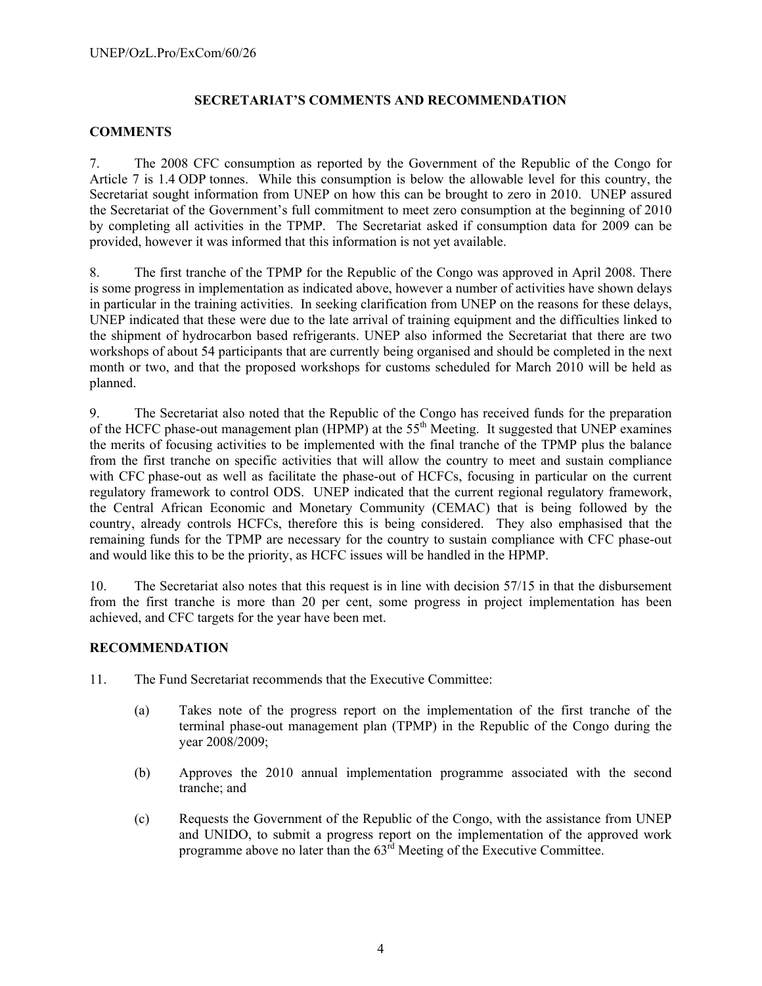# **SECRETARIAT'S COMMENTS AND RECOMMENDATION**

## **COMMENTS**

7. The 2008 CFC consumption as reported by the Government of the Republic of the Congo for Article 7 is 1.4 ODP tonnes. While this consumption is below the allowable level for this country, the Secretariat sought information from UNEP on how this can be brought to zero in 2010. UNEP assured the Secretariat of the Government's full commitment to meet zero consumption at the beginning of 2010 by completing all activities in the TPMP. The Secretariat asked if consumption data for 2009 can be provided, however it was informed that this information is not yet available.

8. The first tranche of the TPMP for the Republic of the Congo was approved in April 2008. There is some progress in implementation as indicated above, however a number of activities have shown delays in particular in the training activities. In seeking clarification from UNEP on the reasons for these delays, UNEP indicated that these were due to the late arrival of training equipment and the difficulties linked to the shipment of hydrocarbon based refrigerants. UNEP also informed the Secretariat that there are two workshops of about 54 participants that are currently being organised and should be completed in the next month or two, and that the proposed workshops for customs scheduled for March 2010 will be held as planned.

9. The Secretariat also noted that the Republic of the Congo has received funds for the preparation of the HCFC phase-out management plan (HPMP) at the 55<sup>th</sup> Meeting. It suggested that UNEP examines the merits of focusing activities to be implemented with the final tranche of the TPMP plus the balance from the first tranche on specific activities that will allow the country to meet and sustain compliance with CFC phase-out as well as facilitate the phase-out of HCFCs, focusing in particular on the current regulatory framework to control ODS. UNEP indicated that the current regional regulatory framework, the Central African Economic and Monetary Community (CEMAC) that is being followed by the country, already controls HCFCs, therefore this is being considered. They also emphasised that the remaining funds for the TPMP are necessary for the country to sustain compliance with CFC phase-out and would like this to be the priority, as HCFC issues will be handled in the HPMP.

10. The Secretariat also notes that this request is in line with decision 57/15 in that the disbursement from the first tranche is more than 20 per cent, some progress in project implementation has been achieved, and CFC targets for the year have been met.

# **RECOMMENDATION**

- 11. The Fund Secretariat recommends that the Executive Committee:
	- (a) Takes note of the progress report on the implementation of the first tranche of the terminal phase-out management plan (TPMP) in the Republic of the Congo during the year 2008/2009;
	- (b) Approves the 2010 annual implementation programme associated with the second tranche; and
	- (c) Requests the Government of the Republic of the Congo, with the assistance from UNEP and UNIDO, to submit a progress report on the implementation of the approved work programme above no later than the  $63<sup>rd</sup>$  Meeting of the Executive Committee.